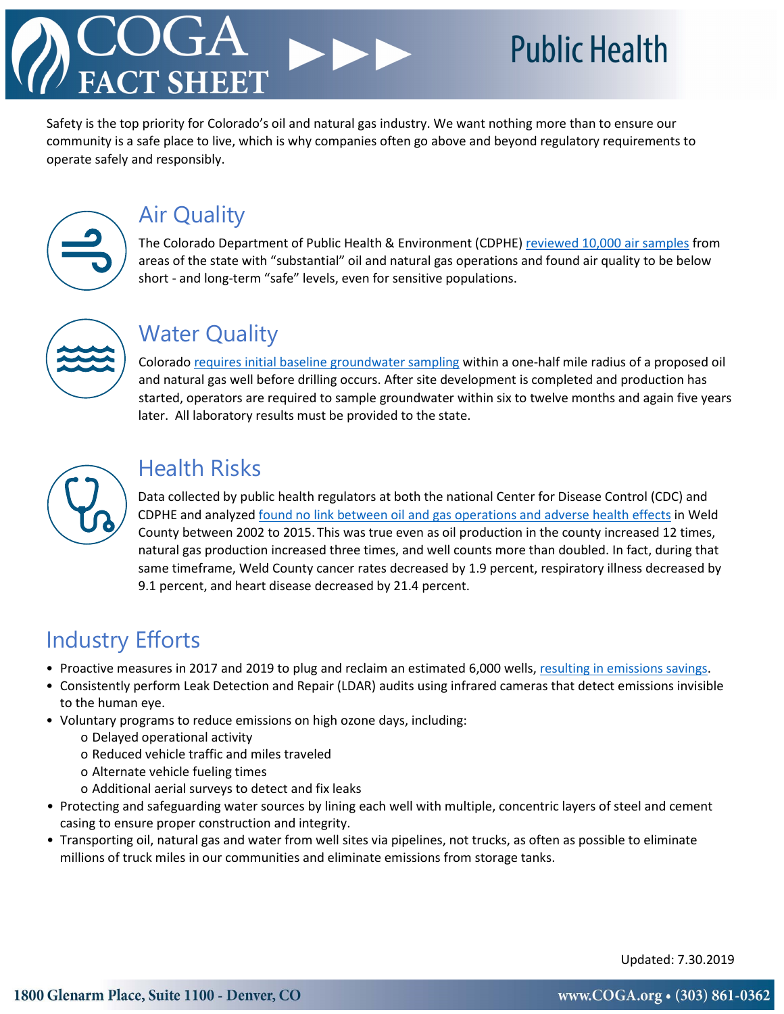## **Public Health**

Safety is the top priority for Colorado's oil and natural gas industry. We want nothing more than to ensure our community is a safe place to live, which is why companies often go above and beyond regulatory requirements to operate safely and responsibly.



### Air Quality

The Colorado Department of Public Health & Environment (CDPHE[\) reviewed 10,000 air samples](https://www.colorado.gov/pacific/cdphe/oil-and-gas-health-assessment) from areas of the state with "substantial" oil and natural gas operations and found air quality to be below short - and long-term "safe" levels, even for sensitive populations.



#### Water Quality

Colorad[o requires initial baseline groundwater sampling](https://cogcc.state.co.us/documents/reg/Rules/2012/groundwater/FinalRule609-01092013.pdf) within a one-half mile radius of a proposed oil and natural gas well before drilling occurs. After site development is completed and production has started, operators are required to sample groundwater within six to twelve months and again five years later. All laboratory results must be provided to the state.



#### Health Risks

Data collected by public health regulators at both the national Center for Disease Control (CDC) and CDPHE and analyzed [found no link between oil and gas operations and adverse health effects](https://eidhealth.org/wp-content/uploads/2018/03/Weld-County-Health-Report.pdf) in Weld County between 2002 to 2015. This was true even as oil production in the county increased 12 times, natural gas production increased three times, and well counts more than doubled. In fact, during that same timeframe, Weld County cancer rates decreased by 1.9 percent, respiratory illness decreased by 9.1 percent, and heart disease decreased by 21.4 percent.

#### Industry Efforts

- Proactive measures in 2017 and 2019 to plug and reclaim an estimated 6,000 wells, [resulting in emissions savings.](https://www.coga.org/factsheets.html#fsozone)
- Consistently perform Leak Detection and Repair (LDAR) audits using infrared cameras that detect emissions invisible to the human eye.
- Voluntary programs to reduce emissions on high ozone days, including:
	- o Delayed operational activity
	- o Reduced vehicle traffic and miles traveled
	- o Alternate vehicle fueling times
	- o Additional aerial surveys to detect and fix leaks
- Protecting and safeguarding water sources by lining each well with multiple, concentric layers of steel and cement casing to ensure proper construction and integrity.
- Transporting oil, natural gas and water from well sites via pipelines, not trucks, as often as possible to eliminate millions of truck miles in our communities and eliminate emissions from storage tanks.

Updated: 7.30.2019